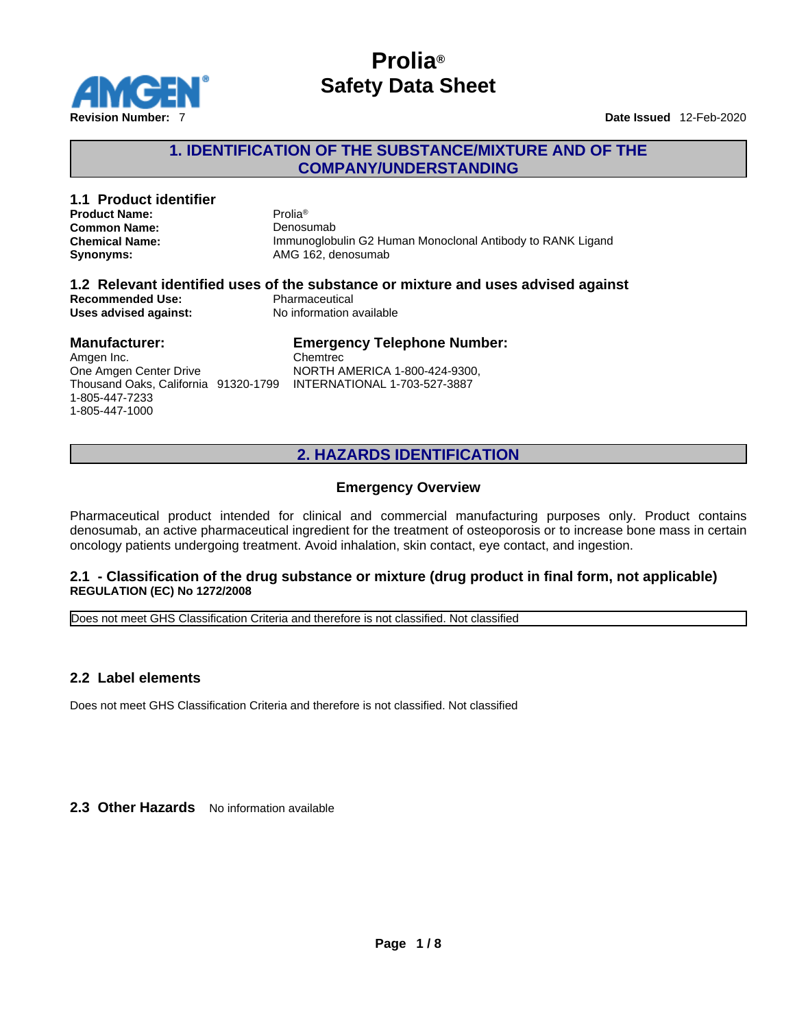

## **1. IDENTIFICATION OF THE SUBSTANCE/MIXTURE AND OF THE COMPANY/UNDERSTANDING**

| 1.1 Product identifier<br><b>Product Name:</b><br><b>Common Name:</b><br><b>Chemical Name:</b><br>Synonyms:                                         | Prolia <sup>®</sup><br>Denosumab<br>Immunoglobulin G2 Human Monoclonal Antibody to RANK Ligand<br>AMG 162. denosumab            |
|-----------------------------------------------------------------------------------------------------------------------------------------------------|---------------------------------------------------------------------------------------------------------------------------------|
| <b>Recommended Use:</b><br>Uses advised against:                                                                                                    | 1.2 Relevant identified uses of the substance or mixture and uses advised against<br>Pharmaceutical<br>No information available |
| <b>Manufacturer:</b><br>Amgen Inc.<br>One Amgen Center Drive<br>Thousand Oaks. California 91320-1799 INTERNATIONAL 1-703-527-3887<br>1-805-447-7233 | <b>Emergency Telephone Number:</b><br>Chemtrec<br>NORTH AMERICA 1-800-424-9300,                                                 |

# **2. HAZARDS IDENTIFICATION**

#### **Emergency Overview**

Pharmaceutical product intended for clinical and commercial manufacturing purposes only. Product contains denosumab, an active pharmaceutical ingredient for the treatment of osteoporosis or to increase bone mass in certain oncology patients undergoing treatment. Avoid inhalation, skin contact, eye contact, and ingestion.

#### **2.1 - Classification of the drug substance or mixture (drug product in final form, not applicable) REGULATION (EC) No 1272/2008**

Does not meet GHS Classification Criteria and therefore is not classified. Not classified

### **2.2 Label elements**

1-805-447-1000

Does not meet GHS Classification Criteria and therefore is not classified. Not classified

2.3 Other Hazards No information available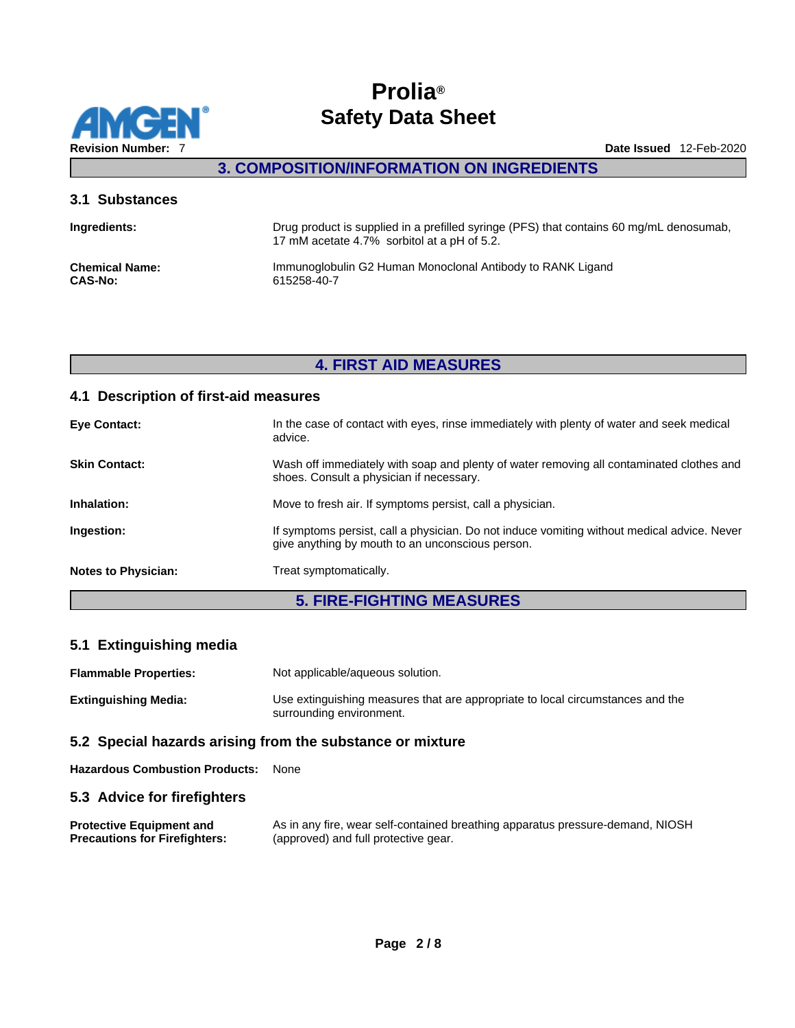

**3. COMPOSITION/INFORMATION ON INGREDIENTS** 

#### **3.1 Substances**

| Ingredients:          | Drug product is supplied in a prefilled syringe (PFS) that contains 60 mg/mL denosumab,<br>17 mM acetate 4.7% sorbitol at a pH of 5.2. |
|-----------------------|----------------------------------------------------------------------------------------------------------------------------------------|
| <b>Chemical Name:</b> | Immunoglobulin G2 Human Monoclonal Antibody to RANK Ligand                                                                             |
| <b>CAS-No:</b>        | 615258-40-7                                                                                                                            |

## **4. FIRST AID MEASURES**

## **4.1 Description of first-aid measures**

| <b>Eye Contact:</b>        | In the case of contact with eyes, rinse immediately with plenty of water and seek medical<br>advice.                                            |
|----------------------------|-------------------------------------------------------------------------------------------------------------------------------------------------|
| <b>Skin Contact:</b>       | Wash off immediately with soap and plenty of water removing all contaminated clothes and<br>shoes. Consult a physician if necessary.            |
| Inhalation:                | Move to fresh air. If symptoms persist, call a physician.                                                                                       |
| Ingestion:                 | If symptoms persist, call a physician. Do not induce vomiting without medical advice. Never<br>give anything by mouth to an unconscious person. |
| <b>Notes to Physician:</b> | Treat symptomatically.                                                                                                                          |
|                            |                                                                                                                                                 |

# **5. FIRE-FIGHTING MEASURES**

## **5.1 Extinguishing media**

| <b>Flammable Properties:</b> | Not applicable/aqueous solution.                                                                           |
|------------------------------|------------------------------------------------------------------------------------------------------------|
| Extinguishing Media:         | Use extinguishing measures that are appropriate to local circumstances and the<br>surrounding environment. |

### **5.2 Special hazards arising from the substance or mixture**

**Hazardous Combustion Products:** None

### **5.3 Advice for firefighters**

| <b>Protective Equipment and</b>      | As in any fire, wear self-contained breathing apparatus pressure-demand, NIOSH |
|--------------------------------------|--------------------------------------------------------------------------------|
| <b>Precautions for Firefighters:</b> | (approved) and full protective gear.                                           |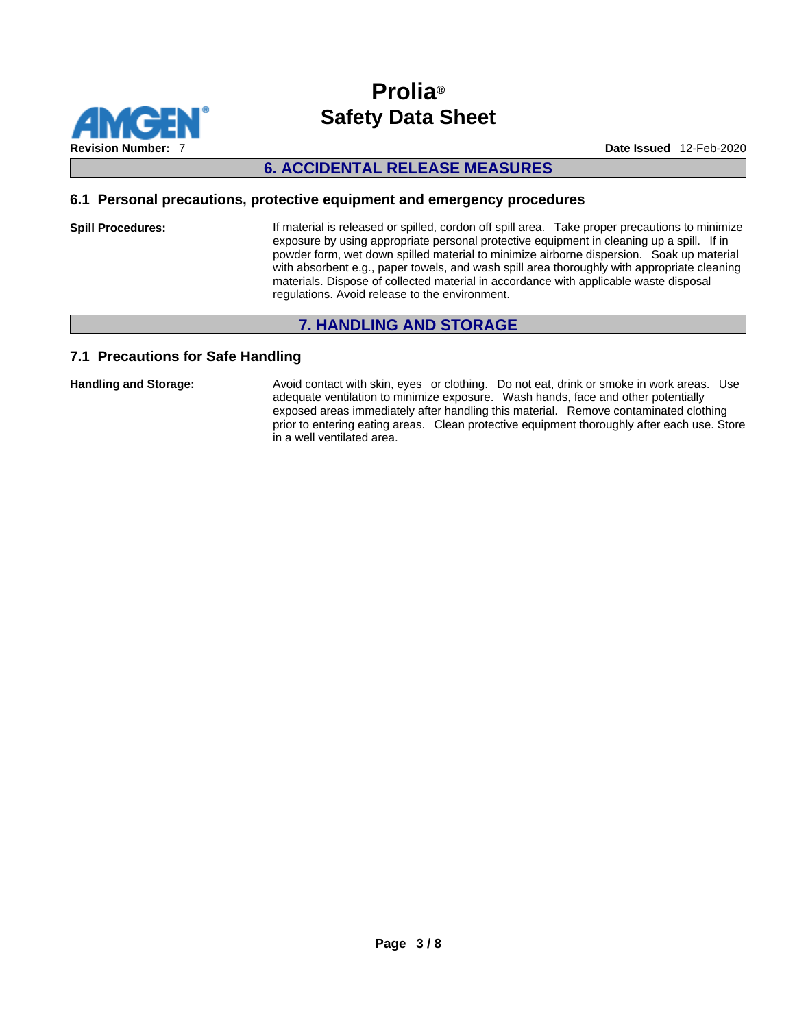

## **6. ACCIDENTAL RELEASE MEASURES**

#### **6.1 Personal precautions, protective equipment and emergency procedures**

**Spill Procedures:** If material is released or spilled, cordon off spill area. Take proper precautions to minimize exposure by using appropriate personal protective equipment in cleaning up a spill. If in powder form, wet down spilled material to minimize airborne dispersion. Soak up material with absorbent e.g., paper towels, and wash spill area thoroughly with appropriate cleaning materials. Dispose of collected material in accordance with applicable waste disposal regulations. Avoid release to the environment.

## **7. HANDLING AND STORAGE**

### **7.1 Precautions for Safe Handling**

Handling and Storage: **Avoid contact with skin, eyes** or clothing. Do not eat, drink or smoke in work areas. Use adequate ventilation to minimize exposure. Wash hands, face and other potentially exposed areas immediately after handling this material. Remove contaminated clothing prior to entering eating areas. Clean protective equipment thoroughly after each use. Store in a well ventilated area.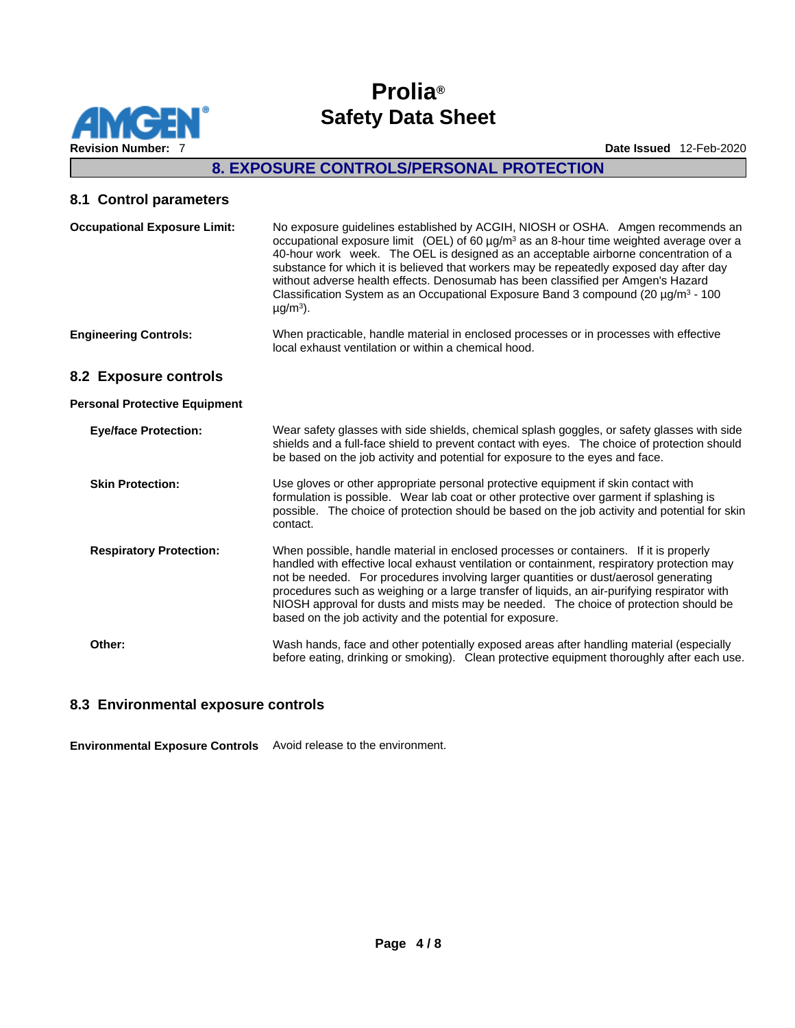

## **8. EXPOSURE CONTROLS/PERSONAL PROTECTION**

#### **8.1 Control parameters**

| <b>Occupational Exposure Limit:</b>  | No exposure guidelines established by ACGIH, NIOSH or OSHA. Amgen recommends an<br>occupational exposure limit (OEL) of 60 $\mu$ g/m <sup>3</sup> as an 8-hour time weighted average over a<br>40-hour work week. The OEL is designed as an acceptable airborne concentration of a<br>substance for which it is believed that workers may be repeatedly exposed day after day<br>without adverse health effects. Denosumab has been classified per Amgen's Hazard<br>Classification System as an Occupational Exposure Band 3 compound (20 $\mu$ g/m <sup>3</sup> - 100<br>$\mu$ g/m <sup>3</sup> ). |
|--------------------------------------|------------------------------------------------------------------------------------------------------------------------------------------------------------------------------------------------------------------------------------------------------------------------------------------------------------------------------------------------------------------------------------------------------------------------------------------------------------------------------------------------------------------------------------------------------------------------------------------------------|
| <b>Engineering Controls:</b>         | When practicable, handle material in enclosed processes or in processes with effective<br>local exhaust ventilation or within a chemical hood.                                                                                                                                                                                                                                                                                                                                                                                                                                                       |
| 8.2 Exposure controls                |                                                                                                                                                                                                                                                                                                                                                                                                                                                                                                                                                                                                      |
| <b>Personal Protective Equipment</b> |                                                                                                                                                                                                                                                                                                                                                                                                                                                                                                                                                                                                      |
| <b>Eye/face Protection:</b>          | Wear safety glasses with side shields, chemical splash goggles, or safety glasses with side<br>shields and a full-face shield to prevent contact with eyes. The choice of protection should<br>be based on the job activity and potential for exposure to the eyes and face.                                                                                                                                                                                                                                                                                                                         |
| <b>Skin Protection:</b>              | Use gloves or other appropriate personal protective equipment if skin contact with<br>formulation is possible. Wear lab coat or other protective over garment if splashing is<br>possible. The choice of protection should be based on the job activity and potential for skin<br>contact.                                                                                                                                                                                                                                                                                                           |
| <b>Respiratory Protection:</b>       | When possible, handle material in enclosed processes or containers. If it is properly<br>handled with effective local exhaust ventilation or containment, respiratory protection may<br>not be needed. For procedures involving larger quantities or dust/aerosol generating<br>procedures such as weighing or a large transfer of liquids, an air-purifying respirator with<br>NIOSH approval for dusts and mists may be needed. The choice of protection should be<br>based on the job activity and the potential for exposure.                                                                    |

**Other:** Wash hands, face and other potentially exposed areas after handling material (especially before eating, drinking or smoking). Clean protective equipment thoroughly after each use.

### **8.3 Environmental exposure controls**

**Environmental Exposure Controls** Avoid release to the environment.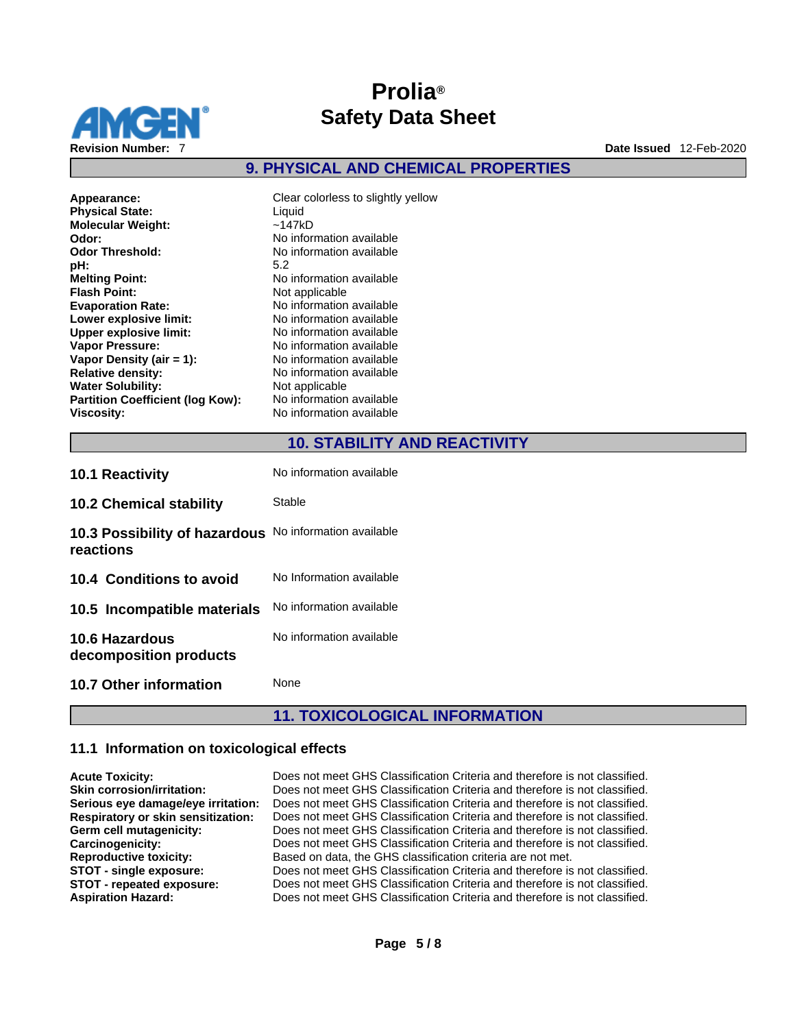

## **9. PHYSICAL AND CHEMICAL PROPERTIES**

| Appearance:<br><b>Physical State:</b>   | Clear colorless to slightly ye<br>Liquid |
|-----------------------------------------|------------------------------------------|
| <b>Molecular Weight:</b>                | ~147kD                                   |
| Odor:                                   | No information available                 |
| <b>Odor Threshold:</b>                  | No information available                 |
| pH:                                     | 5.2                                      |
| <b>Melting Point:</b>                   | No information available                 |
| <b>Flash Point:</b>                     | Not applicable                           |
| <b>Evaporation Rate:</b>                | No information available                 |
| Lower explosive limit:                  | No information available                 |
| <b>Upper explosive limit:</b>           | No information available                 |
| <b>Vapor Pressure:</b>                  | No information available                 |
| Vapor Density (air $= 1$ ):             | No information available                 |
| <b>Relative density:</b>                | No information available                 |
| <b>Water Solubility:</b>                | Not applicable                           |
| <b>Partition Coefficient (log Kow):</b> | No information available                 |
| <b>Viscosity:</b>                       | No information available                 |

**Appearance:** Clear colorless to slightly yellow **Molecular Weight:** ~147kD **Odor:** No information available **Odor Threshold:** No information available **Melting Point:** No information available **Flash Point:** Not applicable **Evaporation Rate:** No information available **Lower explosive limit:** No information available **Upper explosive limit:** No information available **Vo information available Vapor Density (air = 1):**No information available **Relative density:** No information available **Not applicable Partition Coefficient (log Kow):** No information available **Viscosity:** No information available

## **10. STABILITY AND REACTIVITY**

| <b>10.1 Reactivity</b>                          | No information available |
|-------------------------------------------------|--------------------------|
| <b>10.2 Chemical stability</b>                  | Stable                   |
| 10.3 Possibility of hazardous<br>reactions      | No information available |
| 10.4 Conditions to avoid                        | No Information available |
| 10.5 Incompatible materials                     | No information available |
| <b>10.6 Hazardous</b><br>decomposition products | No information available |
| <b>10.7 Other information</b>                   | None                     |

# **11. TOXICOLOGICAL INFORMATION**

### **11.1 Information on toxicological effects**

| <b>Acute Toxicity:</b>                    | Does not meet GHS Classification Criteria and therefore is not classified. |
|-------------------------------------------|----------------------------------------------------------------------------|
| <b>Skin corrosion/irritation:</b>         | Does not meet GHS Classification Criteria and therefore is not classified. |
| Serious eye damage/eye irritation:        | Does not meet GHS Classification Criteria and therefore is not classified. |
| <b>Respiratory or skin sensitization:</b> | Does not meet GHS Classification Criteria and therefore is not classified. |
| Germ cell mutagenicity:                   | Does not meet GHS Classification Criteria and therefore is not classified. |
| Carcinogenicity:                          | Does not meet GHS Classification Criteria and therefore is not classified. |
| <b>Reproductive toxicity:</b>             | Based on data, the GHS classification criteria are not met.                |
| STOT - single exposure:                   | Does not meet GHS Classification Criteria and therefore is not classified. |
| STOT - repeated exposure:                 | Does not meet GHS Classification Criteria and therefore is not classified. |
| <b>Aspiration Hazard:</b>                 | Does not meet GHS Classification Criteria and therefore is not classified. |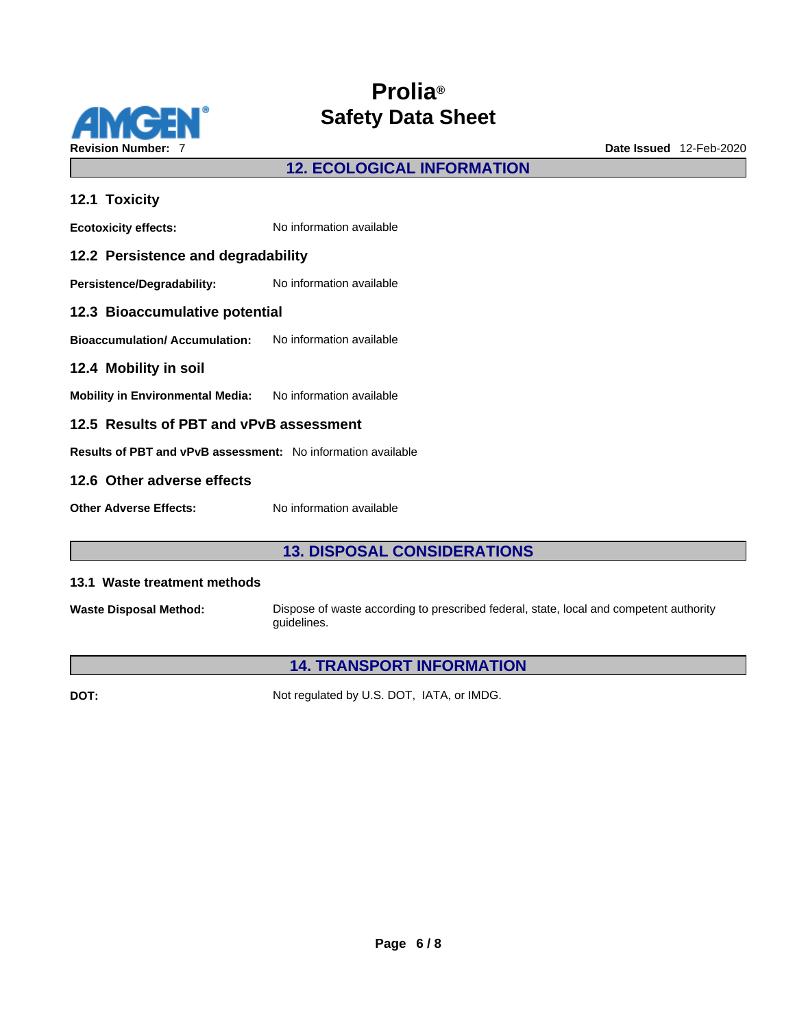

**12. ECOLOGICAL INFORMATION** 

| 12.1 Toxicity                                                 |                          |  |
|---------------------------------------------------------------|--------------------------|--|
| <b>Ecotoxicity effects:</b>                                   | No information available |  |
| 12.2 Persistence and degradability                            |                          |  |
| Persistence/Degradability: No information available           |                          |  |
| 12.3 Bioaccumulative potential                                |                          |  |
| <b>Bioaccumulation/Accumulation:</b> No information available |                          |  |
| 12.4 Mobility in soil                                         |                          |  |
| Mobility in Environmental Media: No information available     |                          |  |
| 12.5 Results of PBT and vPvB assessment                       |                          |  |
| Results of PBT and vPvB assessment: No information available  |                          |  |
| 12.6 Other adverse effects                                    |                          |  |
| <b>Other Adverse Effects:</b>                                 | No information available |  |

## **13. DISPOSAL CONSIDERATIONS**

#### **13.1 Waste treatment methods**

**Waste Disposal Method:** Dispose of waste according to prescribed federal, state, local and competent authority guidelines.

# **14. TRANSPORT INFORMATION**

**DOT:** Not regulated by U.S. DOT, IATA, or IMDG.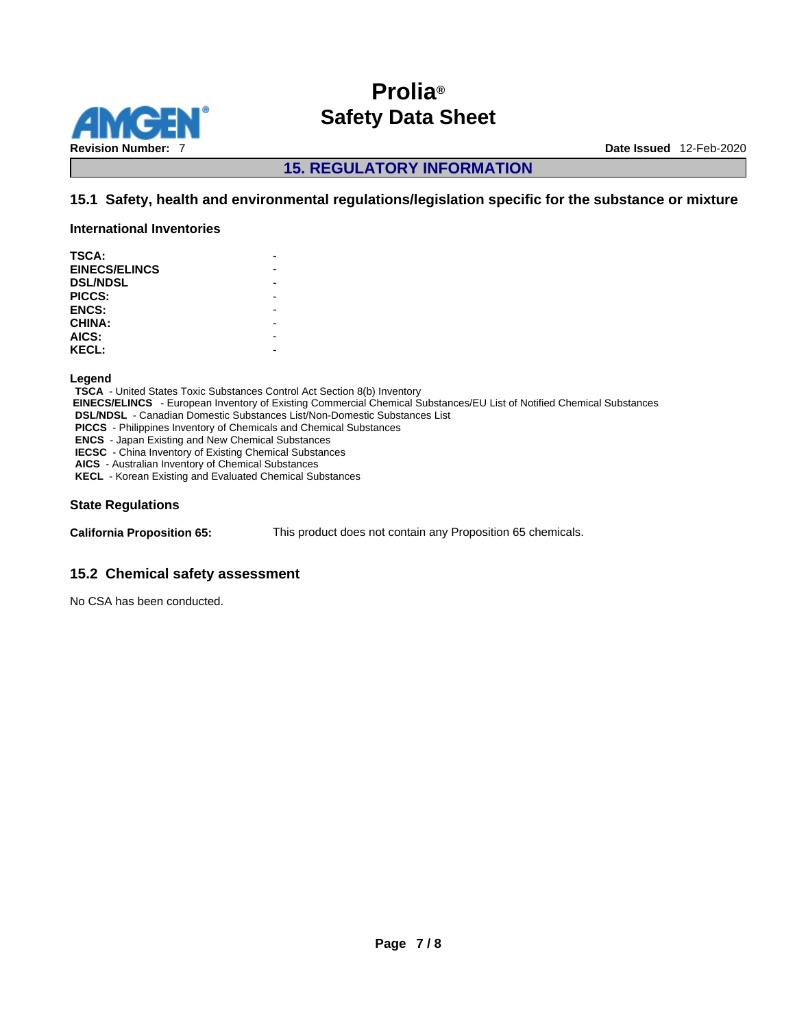

**15. REGULATORY INFORMATION** 

## **15.1 Safety, health and environmental regulations/legislation specific for the substance or mixture**

**International Inventories**

| <b>TSCA:</b>         |  |
|----------------------|--|
| <b>EINECS/ELINCS</b> |  |
| <b>DSL/NDSL</b>      |  |
| PICCS:               |  |
| <b>ENCS:</b>         |  |
| <b>CHINA:</b>        |  |
| AICS:                |  |
| <b>KECL:</b>         |  |
|                      |  |

**Legend** 

**TSCA** - United States Toxic Substances Control Act Section 8(b) Inventory  **EINECS/ELINCS** - European Inventory of Existing Commercial Chemical Substances/EU List of Notified Chemical Substances **DSL/NDSL** - Canadian Domestic Substances List/Non-Domestic Substances List **PICCS** - Philippines Inventory of Chemicals and Chemical Substances **ENCS** - Japan Existing and New Chemical Substances **IECSC** - China Inventory of Existing Chemical Substances **AICS** - Australian Inventory of Chemical Substances **KECL** - Korean Existing and Evaluated Chemical Substances

#### **State Regulations**

**California Proposition 65:** This product does not contain any Proposition 65 chemicals.

### **15.2 Chemical safety assessment**

No CSA has been conducted.